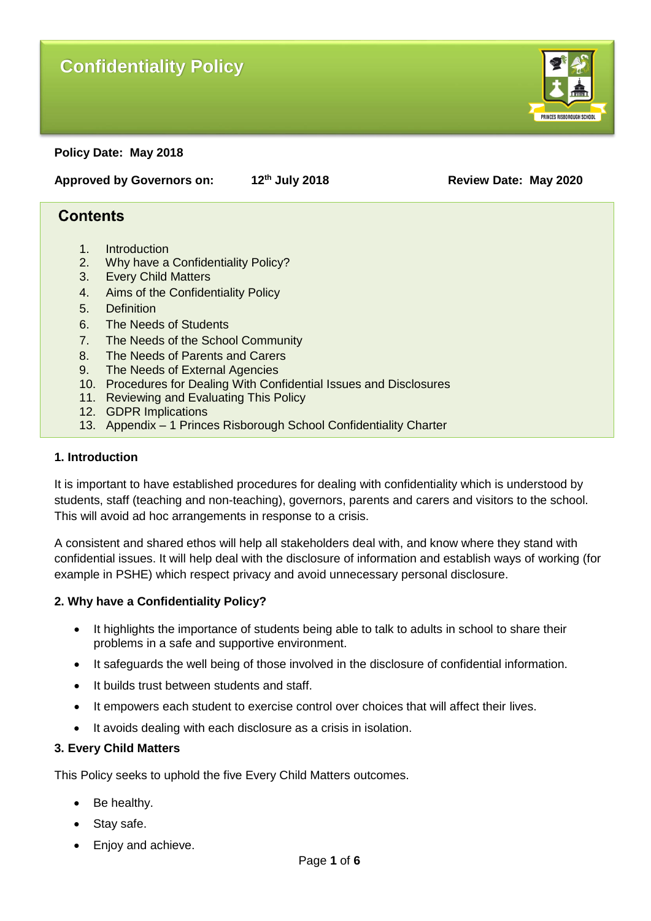# **Confidentiality Policy**



**Policy Date: May 2018**

**Approved by Governors on: 12th July 2018 Review Date: May 2020**

## **Contents**

- 1. Introduction
- 2. Why have a Confidentiality Policy?
- 3. Every Child Matters
- 4. Aims of the Confidentiality Policy
- 5. Definition
- 6. The Needs of Students
- 7. The Needs of the School Community
- 8. The Needs of Parents and Carers
- 9. The Needs of External Agencies
- 10. Procedures for Dealing With Confidential Issues and Disclosures
- 11. Reviewing and Evaluating This Policy
- 12. GDPR Implications
- 13. Appendix 1 Princes Risborough School Confidentiality Charter

#### **1. Introduction**

It is important to have established procedures for dealing with confidentiality which is understood by students, staff (teaching and non-teaching), governors, parents and carers and visitors to the school. This will avoid ad hoc arrangements in response to a crisis.

A consistent and shared ethos will help all stakeholders deal with, and know where they stand with confidential issues. It will help deal with the disclosure of information and establish ways of working (for example in PSHE) which respect privacy and avoid unnecessary personal disclosure.

#### **2. Why have a Confidentiality Policy?**

- It highlights the importance of students being able to talk to adults in school to share their problems in a safe and supportive environment.
- It safeguards the well being of those involved in the disclosure of confidential information.
- It builds trust between students and staff.
- It empowers each student to exercise control over choices that will affect their lives.
- It avoids dealing with each disclosure as a crisis in isolation.

#### **3. Every Child Matters**

This Policy seeks to uphold the five Every Child Matters outcomes.

- Be healthy.
- Stay safe.
- Enjoy and achieve.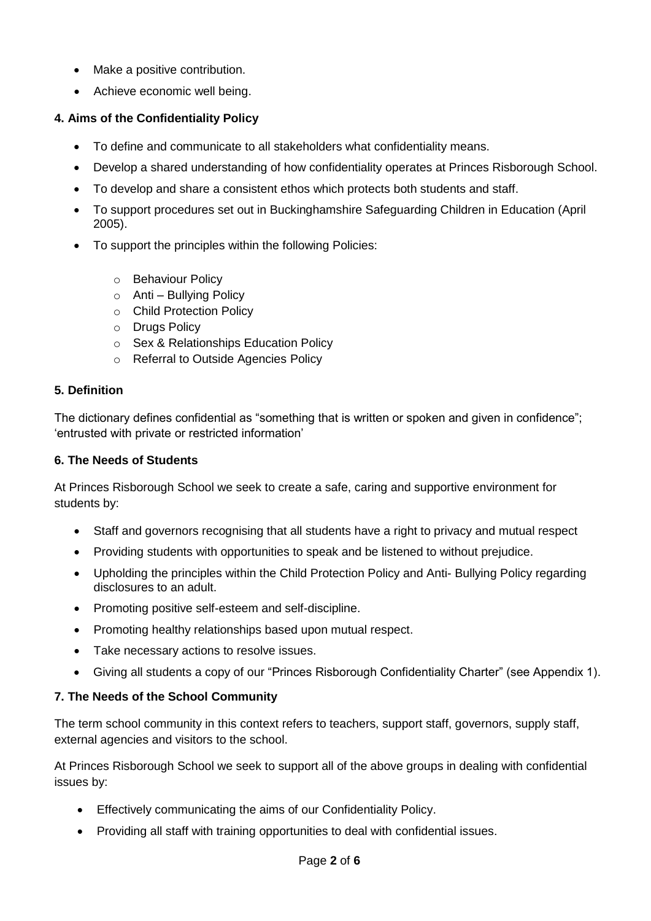- Make a positive contribution.
- Achieve economic well being.

### **4. Aims of the Confidentiality Policy**

- To define and communicate to all stakeholders what confidentiality means.
- Develop a shared understanding of how confidentiality operates at Princes Risborough School.
- To develop and share a consistent ethos which protects both students and staff.
- To support procedures set out in Buckinghamshire Safeguarding Children in Education (April 2005).
- To support the principles within the following Policies:
	- o Behaviour Policy
	- $\circ$  Anti Bullying Policy
	- o Child Protection Policy
	- o Drugs Policy
	- o Sex & Relationships Education Policy
	- o Referral to Outside Agencies Policy

### **5. Definition**

The dictionary defines confidential as "something that is written or spoken and given in confidence"; 'entrusted with private or restricted information'

#### **6. The Needs of Students**

At Princes Risborough School we seek to create a safe, caring and supportive environment for students by:

- Staff and governors recognising that all students have a right to privacy and mutual respect
- Providing students with opportunities to speak and be listened to without prejudice.
- Upholding the principles within the Child Protection Policy and Anti- Bullying Policy regarding disclosures to an adult.
- Promoting positive self-esteem and self-discipline.
- Promoting healthy relationships based upon mutual respect.
- Take necessary actions to resolve issues.
- Giving all students a copy of our "Princes Risborough Confidentiality Charter" (see Appendix 1).

#### **7. The Needs of the School Community**

The term school community in this context refers to teachers, support staff, governors, supply staff, external agencies and visitors to the school.

At Princes Risborough School we seek to support all of the above groups in dealing with confidential issues by:

- Effectively communicating the aims of our Confidentiality Policy.
- Providing all staff with training opportunities to deal with confidential issues.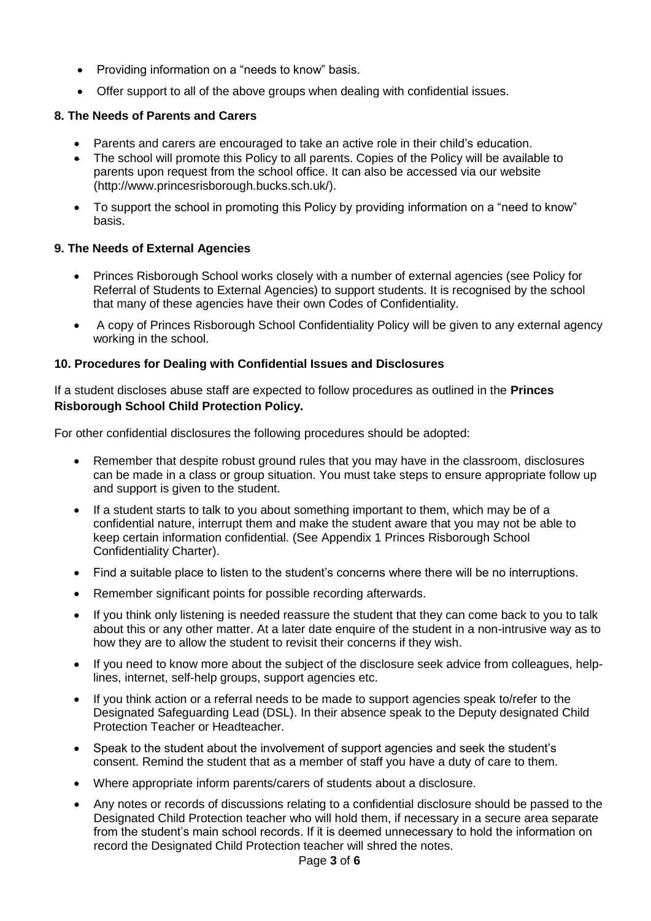- Providing information on a "needs to know" basis.
- Offer support to all of the above groups when dealing with confidential issues.

### **8. The Needs of Parents and Carers**

- Parents and carers are encouraged to take an active role in their child's education.
- The school will promote this Policy to all parents. Copies of the Policy will be available to parents upon request from the school office. It can also be accessed via our website (http://www.princesrisborough.bucks.sch.uk/).
- To support the school in promoting this Policy by providing information on a "need to know" basis.

#### **9. The Needs of External Agencies**

- Princes Risborough School works closely with a number of external agencies (see Policy for Referral of Students to External Agencies) to support students. It is recognised by the school that many of these agencies have their own Codes of Confidentiality.
- A copy of Princes Risborough School Confidentiality Policy will be given to any external agency working in the school.

#### **10. Procedures for Dealing with Confidential Issues and Disclosures**

If a student discloses abuse staff are expected to follow procedures as outlined in the **Princes Risborough School Child Protection Policy.**

For other confidential disclosures the following procedures should be adopted:

- Remember that despite robust ground rules that you may have in the classroom, disclosures can be made in a class or group situation. You must take steps to ensure appropriate follow up and support is given to the student.
- If a student starts to talk to you about something important to them, which may be of a confidential nature, interrupt them and make the student aware that you may not be able to keep certain information confidential. (See Appendix 1 Princes Risborough School Confidentiality Charter).
- Find a suitable place to listen to the student's concerns where there will be no interruptions.
- Remember significant points for possible recording afterwards.
- If you think only listening is needed reassure the student that they can come back to you to talk about this or any other matter. At a later date enquire of the student in a non-intrusive way as to how they are to allow the student to revisit their concerns if they wish.
- If you need to know more about the subject of the disclosure seek advice from colleagues, helplines, internet, self-help groups, support agencies etc.
- If you think action or a referral needs to be made to support agencies speak to/refer to the Designated Safeguarding Lead (DSL). In their absence speak to the Deputy designated Child Protection Teacher or Headteacher.
- Speak to the student about the involvement of support agencies and seek the student's consent. Remind the student that as a member of staff you have a duty of care to them.
- Where appropriate inform parents/carers of students about a disclosure.
- Any notes or records of discussions relating to a confidential disclosure should be passed to the Designated Child Protection teacher who will hold them, if necessary in a secure area separate from the student's main school records. If it is deemed unnecessary to hold the information on record the Designated Child Protection teacher will shred the notes.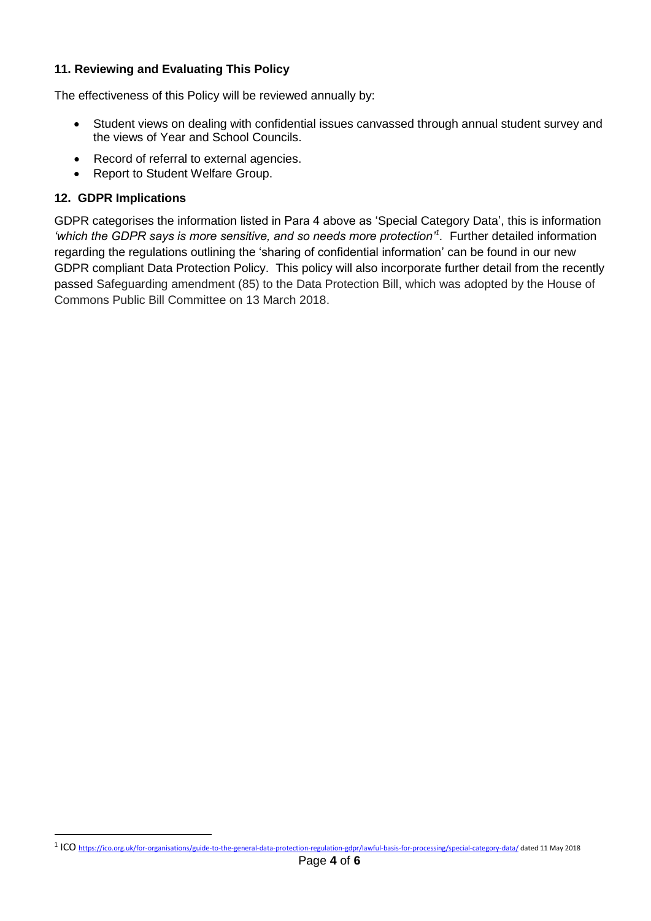#### **11. Reviewing and Evaluating This Policy**

The effectiveness of this Policy will be reviewed annually by:

- Student views on dealing with confidential issues canvassed through annual student survey and the views of Year and School Councils.
- Record of referral to external agencies.
- Report to Student Welfare Group.

#### **12. GDPR Implications**

 $\overline{a}$ 

GDPR categorises the information listed in Para 4 above as 'Special Category Data', this is information *'which the GDPR says is more sensitive, and so needs more protection'<sup>1</sup> .* Further detailed information regarding the regulations outlining the 'sharing of confidential information' can be found in our new GDPR compliant Data Protection Policy. This policy will also incorporate further detail from the recently passed Safeguarding amendment (85) to the Data Protection Bill, which was adopted by the House of Commons Public Bill Committee on 13 March 2018.

<sup>&</sup>lt;sup>1</sup> ICO <https://ico.org.uk/for-organisations/guide-to-the-general-data-protection-regulation-gdpr/lawful-basis-for-processing/special-category-data/> dated 11 May 2018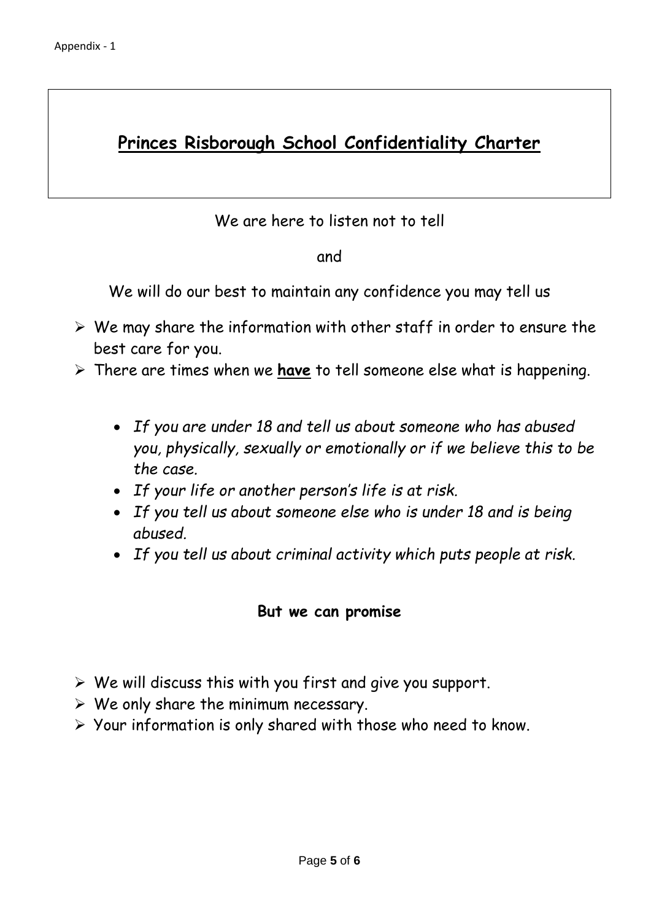# **Princes Risborough School Confidentiality Charter**

# We are here to listen not to tell

## and

We will do our best to maintain any confidence you may tell us

- $\triangleright$  We may share the information with other staff in order to ensure the best care for you.
- There are times when we **have** to tell someone else what is happening.
	- *If you are under 18 and tell us about someone who has abused you, physically, sexually or emotionally or if we believe this to be the case.*
	- *If your life or another person's life is at risk.*
	- *If you tell us about someone else who is under 18 and is being abused.*
	- *If you tell us about criminal activity which puts people at risk.*

## **But we can promise**

- $\triangleright$  We will discuss this with you first and give you support.
- $\triangleright$  We only share the minimum necessary.
- $\triangleright$  Your information is only shared with those who need to know.